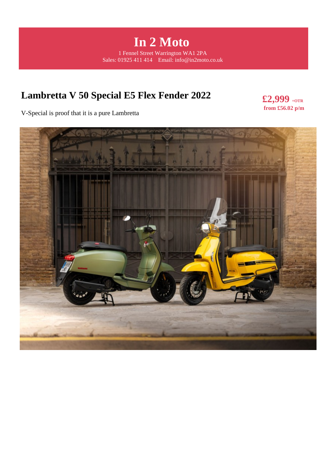**In 2 Moto**  1 Fennel Street Warrington WA1 2PA Sales: 01925 411 414 Email: info@in2moto.co.uk

# **Lambretta V 50 Special E5 Flex Fender 2022**

**£2,999 +OTR from £56.02 p/m** 

V-Special is proof that it is a pure Lambretta

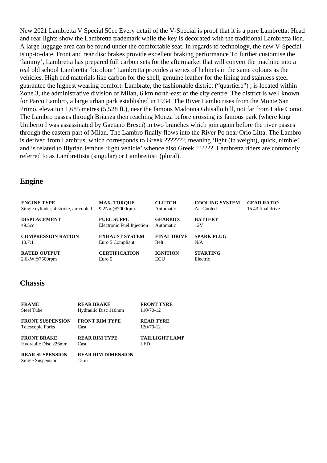New 2021 Lambretta V Special 50cc Every detail of the V-Special is proof that it is a pure Lambretta: Head and rear lights show the Lambretta trademark while the key is decorated with the traditional Lambretta lion. A large luggage area can be found under the comfortable seat. In regards to technology, the new V-Special is up-to-date. Front and rear disc brakes provide excellent braking performance To further customise the 'lammy', Lambretta has prepared full carbon sets for the aftermarket that will convert the machine into a real old school Lambretta 'bicolour' Lambretta provides a series of helmets in the same colours as the vehicles. High end materials like carbon for the shell, genuine leather for the lining and stainless steel guarantee the highest wearing comfort. Lambrate, the fashionable district ("quartiere") , is located within Zone 3, the administrative division of Milan, 6 km north-east of the city centre. The district is well known for Parco Lambro, a large urban park established in 1934. The River Lambo rises from the Monte San Primo, elevation 1,685 metres (5,528 ft.), near the famous Madonna Ghisallo hill, not far from Lake Como. The Lambro passes through Brianza then reaching Monza before crossing its famous park (where king Umberto I was assassinated by Gaetano Bresci) in two branches which join again before the river passes through the eastern part of Milan. The Lambro finally flows into the River Po near Orio Litta. The Lambro is derived from Lambrus, which corresponds to Greek ???????, meaning 'light (in weight), quick, nimble' and is related to Illyrian lembus 'light vehicle' whence also Greek ??????. Lambretta riders are commonly referred to as Lambrettista (singular) or Lambrettisti (plural).

#### **Engine**

| <b>ENGINE TYPE</b>                    | <b>MAX. TOROUE</b>        | <b>CLUTCH</b>      | <b>COOLING SYSTEM</b> | <b>GEAR RATIO</b> |
|---------------------------------------|---------------------------|--------------------|-----------------------|-------------------|
| Single cylinder, 4-stroke, air cooled | $9.2Nm@7000$ rpm          | Automatic          | Air Cooled            | 15.43 final drive |
| <b>DISPLACEMENT</b>                   | <b>FUEL SUPPL</b>         | <b>GEARBOX</b>     | <b>BATTERY</b>        |                   |
| 49.5cc                                | Electronic Fuel Injection | Automatic          | 12V                   |                   |
| <b>COMPRESSION RATION</b>             | <b>EXHAUST SYSTEM</b>     | <b>FINAL DRIVE</b> | <b>SPARK PLUG</b>     |                   |
| 10.7:1                                | Euro 5 Compliant          | Belt               | N/A                   |                   |
| <b>RATED OUTPUT</b>                   | <b>CERTIFICATION</b>      | <b>IGNITION</b>    | <b>STARTING</b>       |                   |
| 2.6kW@7500rpm                         | Euro 5                    | ECU                | Electric              |                   |

#### **Chassis**

| <b>FRAME</b>                                | <b>REAR BRAKE</b>                  | <b>FRONT TYRE</b>     |
|---------------------------------------------|------------------------------------|-----------------------|
| <b>Steel Tube</b>                           | Hydraulic Disc 110mm               | 110/70-12             |
| <b>FRONT SUSPENSION</b>                     | <b>FRONT RIM TYPE</b>              | <b>REAR TYRE</b>      |
| Telescopic Forks                            | Cast                               | 120/70-12             |
| <b>FRONT BRAKE</b>                          | <b>REAR RIM TYPE</b>               | <b>TAILLIGHT LAMP</b> |
| Hydraulic Disc 226mm                        | Cast                               | LED                   |
| <b>REAR SUSPENSION</b><br>Single Suspension | <b>REAR RIM DIMENSION</b><br>12 in |                       |